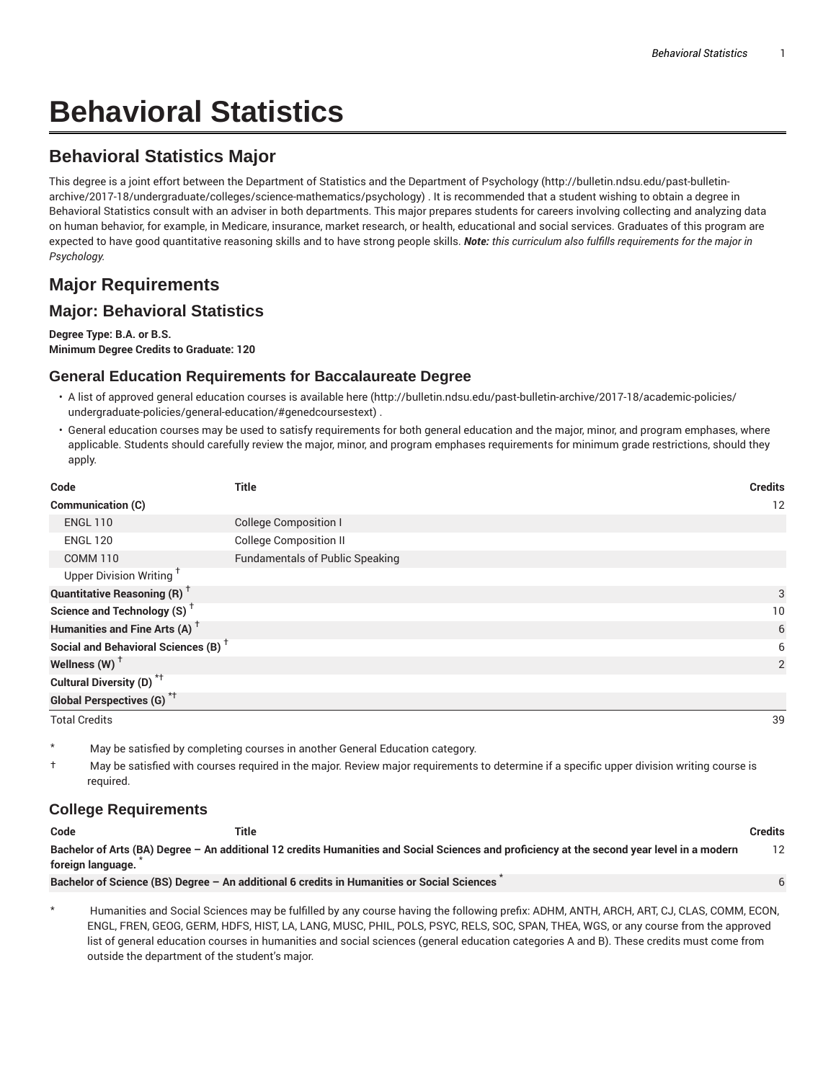# **Behavioral Statistics**

## **Behavioral Statistics Major**

This degree is a joint effort between the Department of Statistics and the Department of Psychology (http://bulletin.ndsu.edu/past-bulletinarchive/2017-18/undergraduate/colleges/science-mathematics/psychology) . It is recommended that a student wishing to obtain a degree in Behavioral Statistics consult with an adviser in both departments. This major prepares students for careers involving collecting and analyzing data on human behavior, for example, in Medicare, insurance, market research, or health, educational and social services. Graduates of this program are expected to have good quantitative reasoning skills and to have strong people skills. *Note: this curriculum also fulfills requirements for the major in Psychology.*

# **Major Requirements**

### **Major: Behavioral Statistics**

**Degree Type: B.A. or B.S. Minimum Degree Credits to Graduate: 120**

#### **General Education Requirements for Baccalaureate Degree**

- A list of approved general education courses is available here (http://bulletin.ndsu.edu/past-bulletin-archive/2017-18/academic-policies/ undergraduate-policies/general-education/#genedcoursestext) .
- General education courses may be used to satisfy requirements for both general education and the major, minor, and program emphases, where applicable. Students should carefully review the major, minor, and program emphases requirements for minimum grade restrictions, should they apply.

| Code                                                 | <b>Title</b>                           | <b>Credits</b> |
|------------------------------------------------------|----------------------------------------|----------------|
| <b>Communication (C)</b>                             |                                        | 12             |
| <b>ENGL 110</b>                                      | <b>College Composition I</b>           |                |
| <b>ENGL 120</b>                                      | <b>College Composition II</b>          |                |
| <b>COMM 110</b>                                      | <b>Fundamentals of Public Speaking</b> |                |
| Upper Division Writing <sup>+</sup>                  |                                        |                |
| <b>Quantitative Reasoning (R)</b> <sup>†</sup>       |                                        | 3              |
| Science and Technology (S) <sup><math>†</math></sup> |                                        | 10             |
| Humanities and Fine Arts (A) <sup>+</sup>            |                                        | 6              |
| Social and Behavioral Sciences (B) <sup>+</sup>      |                                        | 6              |
| Wellness (W) $^{\dagger}$                            |                                        | 2              |
| Cultural Diversity (D) <sup>*†</sup>                 |                                        |                |
| Global Perspectives (G) <sup>*†</sup>                |                                        |                |
| <b>Total Credits</b>                                 |                                        | 39             |

May be satisfied by completing courses in another General Education category.

† May be satisfied with courses required in the major. Review major requirements to determine if a specific upper division writing course is required.

#### **College Requirements**

| Code              | Title                                                                                                                                       | Credits |
|-------------------|---------------------------------------------------------------------------------------------------------------------------------------------|---------|
| foreign language. | Bachelor of Arts (BA) Degree - An additional 12 credits Humanities and Social Sciences and proficiency at the second year level in a modern |         |
|                   | Bachelor of Science (BS) Degree - An additional 6 credits in Humanities or Social Sciences                                                  | 6       |

\* Humanities and Social Sciences may be fulfilled by any course having the following prefix: ADHM, ANTH, ARCH, ART, CJ, CLAS, COMM, ECON, ENGL, FREN, GEOG, GERM, HDFS, HIST, LA, LANG, MUSC, PHIL, POLS, PSYC, RELS, SOC, SPAN, THEA, WGS, or any course from the approved list of general education courses in humanities and social sciences (general education categories A and B). These credits must come from outside the department of the student's major.